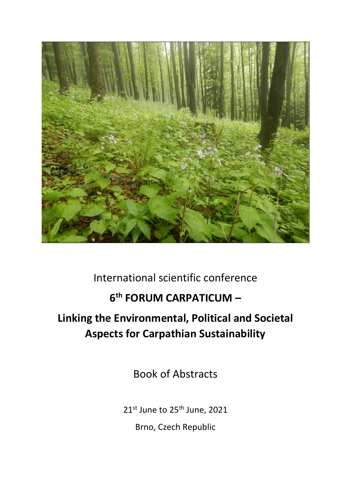

## International scientific conference

## **6 th FORUM CARPATICUM –**

# **Linking the Environmental, Political and Societal Aspects for Carpathian Sustainability**

Book of Abstracts

21st June to 25<sup>th</sup> June, 2021

Brno, Czech Republic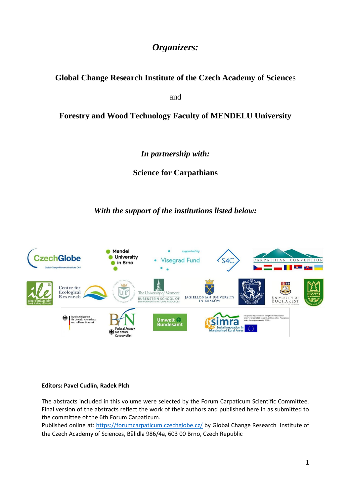## *Organizers:*

### **Global Change Research Institute of the Czech Academy of Science**s

and

### **Forestry and Wood Technology Faculty of MENDELU University**

*In partnership with:*

**Science for Carpathians** 

*With the support of the institutions listed below:*



#### **Editors: Pavel Cudlín, Radek Plch**

The abstracts included in this volume were selected by the Forum Carpaticum Scientific Committee. Final version of the abstracts reflect the work of their authors and published here in as submitted to the committee of the 6th Forum Carpaticum.

Published online at:<https://forumcarpaticum.czechglobe.cz/> by Global Change Research Institute of the Czech Academy of Sciences, Bělidla 986/4a, 603 00 Brno, Czech Republic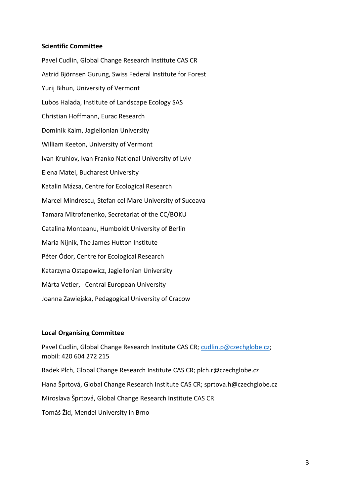#### **Scientific Committee**

Pavel Cudlin, Global Change Research Institute CAS CR Astrid Björnsen Gurung, Swiss Federal Institute for Forest Yurij Bihun, University of Vermont Lubos Halada, Institute of Landscape Ecology SAS Christian Hoffmann, Eurac Research Dominik Kaim, Jagiellonian University William Keeton, University of Vermont Ivan Kruhlov, Ivan Franko National University of Lviv Elena Matei, Bucharest University Katalin Mázsa, Centre for Ecological Research Marcel Mindrescu, Stefan cel Mare University of Suceava Tamara Mitrofanenko, Secretariat of the CC/BOKU Catalina Monteanu, Humboldt University of Berlin Maria Nijnik, The James Hutton Institute Péter Ódor, Centre for Ecological Research Katarzyna Ostapowicz, Jagiellonian University Márta Vetier, Central European University Joanna Zawiejska, Pedagogical University of Cracow

#### **Local Organising Committee**

Pavel Cudlin, Global Change Research Institute CAS CR; [cudlin.p@czechglobe.cz;](mailto:cudlin.p@czechglobe.cz) mobil: 420 604 272 215 Radek Plch, Global Change Research Institute CAS CR; plch.r@czechglobe.cz Hana Šprtová, Global Change Research Institute CAS CR; sprtova.h@czechglobe.cz Miroslava Šprtová, Global Change Research Institute CAS CR Tomáš Žid, Mendel University in Brno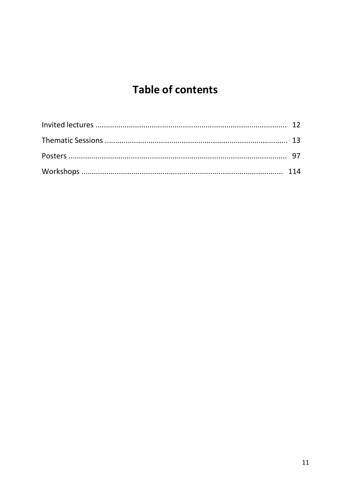# **Table of contents**